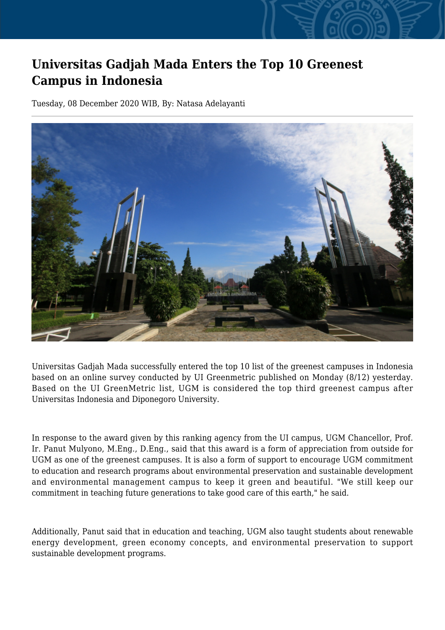## **Universitas Gadjah Mada Enters the Top 10 Greenest Campus in Indonesia**

Tuesday, 08 December 2020 WIB, By: Natasa Adelayanti



Universitas Gadjah Mada successfully entered the top 10 list of the greenest campuses in Indonesia based on an online survey conducted by UI Greenmetric published on Monday (8/12) yesterday. Based on the UI GreenMetric list, UGM is considered the top third greenest campus after Universitas Indonesia and Diponegoro University.

In response to the award given by this ranking agency from the UI campus, UGM Chancellor, Prof. Ir. Panut Mulyono, M.Eng., D.Eng., said that this award is a form of appreciation from outside for UGM as one of the greenest campuses. It is also a form of support to encourage UGM commitment to education and research programs about environmental preservation and sustainable development and environmental management campus to keep it green and beautiful. "We still keep our commitment in teaching future generations to take good care of this earth," he said.

Additionally, Panut said that in education and teaching, UGM also taught students about renewable energy development, green economy concepts, and environmental preservation to support sustainable development programs.